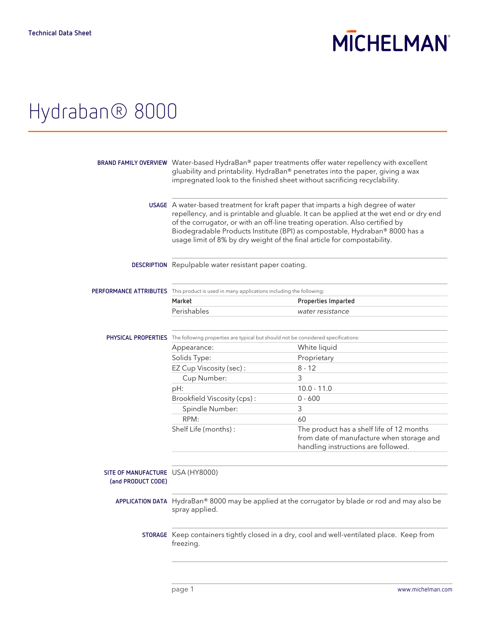# **MICHELMAN**

## Hydraban® 8000

|                                                                                                                                                                                                                                                                                                                                                                                                                       | BRAND FAMILY OVERVIEW Water-based HydraBan® paper treatments offer water repellency with excellent<br>gluability and printability. HydraBan® penetrates into the paper, giving a wax<br>impregnated look to the finished sheet without sacrificing recyclability. |  |
|-----------------------------------------------------------------------------------------------------------------------------------------------------------------------------------------------------------------------------------------------------------------------------------------------------------------------------------------------------------------------------------------------------------------------|-------------------------------------------------------------------------------------------------------------------------------------------------------------------------------------------------------------------------------------------------------------------|--|
| USAGE A water-based treatment for kraft paper that imparts a high degree of water<br>repellency, and is printable and gluable. It can be applied at the wet end or dry end<br>of the corrugator, or with an off-line treating operation. Also certified by<br>Biodegradable Products Institute (BPI) as compostable, Hydraban® 8000 has a<br>usage limit of 8% by dry weight of the final article for compostability. |                                                                                                                                                                                                                                                                   |  |
| DESCRIPTION Repulpable water resistant paper coating.                                                                                                                                                                                                                                                                                                                                                                 |                                                                                                                                                                                                                                                                   |  |
| PERFORMANCE ATTRIBUTES This product is used in many applications including the following:                                                                                                                                                                                                                                                                                                                             |                                                                                                                                                                                                                                                                   |  |
| Market                                                                                                                                                                                                                                                                                                                                                                                                                | Properties Imparted                                                                                                                                                                                                                                               |  |
| Perishables                                                                                                                                                                                                                                                                                                                                                                                                           | water resistance                                                                                                                                                                                                                                                  |  |
| PHYSICAL PROPERTIES The following properties are typical but should not be considered specifications:                                                                                                                                                                                                                                                                                                                 |                                                                                                                                                                                                                                                                   |  |
| Appearance:                                                                                                                                                                                                                                                                                                                                                                                                           | White liquid                                                                                                                                                                                                                                                      |  |
| Solids Type:                                                                                                                                                                                                                                                                                                                                                                                                          | Proprietary                                                                                                                                                                                                                                                       |  |
| EZ Cup Viscosity (sec):                                                                                                                                                                                                                                                                                                                                                                                               | $8 - 12$                                                                                                                                                                                                                                                          |  |
| Cup Number:                                                                                                                                                                                                                                                                                                                                                                                                           | 3                                                                                                                                                                                                                                                                 |  |
| pH:                                                                                                                                                                                                                                                                                                                                                                                                                   | $10.0 - 11.0$                                                                                                                                                                                                                                                     |  |
| Brookfield Viscosity (cps):                                                                                                                                                                                                                                                                                                                                                                                           | $0 - 600$                                                                                                                                                                                                                                                         |  |
| Spindle Number:                                                                                                                                                                                                                                                                                                                                                                                                       | 3                                                                                                                                                                                                                                                                 |  |
| RPM:                                                                                                                                                                                                                                                                                                                                                                                                                  | 60                                                                                                                                                                                                                                                                |  |
| Shelf Life (months):                                                                                                                                                                                                                                                                                                                                                                                                  | The product has a shelf life of 12 months<br>from date of manufacture when storage and<br>handling instructions are followed.                                                                                                                                     |  |
| SITE OF MANUFACTURE USA (HY8000)                                                                                                                                                                                                                                                                                                                                                                                      |                                                                                                                                                                                                                                                                   |  |
| spray applied.                                                                                                                                                                                                                                                                                                                                                                                                        | APPLICATION DATA HydraBan® 8000 may be applied at the corrugator by blade or rod and may also be                                                                                                                                                                  |  |
| STORAGE Keep containers tightly closed in a dry, cool and well-ventilated place. Keep from<br>freezing.                                                                                                                                                                                                                                                                                                               |                                                                                                                                                                                                                                                                   |  |
|                                                                                                                                                                                                                                                                                                                                                                                                                       |                                                                                                                                                                                                                                                                   |  |